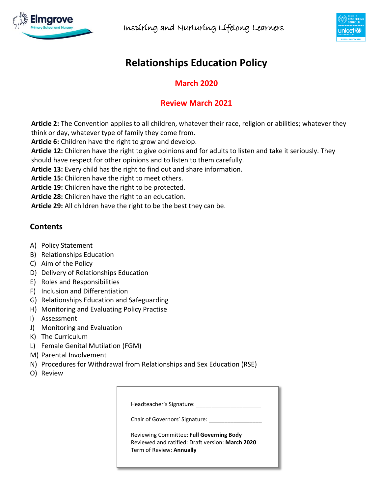



# **Relationships Education Policy**

# **March 2020**

# **Review March 2021**

**Article 2:** The Convention applies to all children, whatever their race, religion or abilities; whatever they think or day, whatever type of family they come from.

**Article 6:** Children have the right to grow and develop.

**Article 12:** Children have the right to give opinions and for adults to listen and take it seriously. They should have respect for other opinions and to listen to them carefully.

**Article 13:** Every child has the right to find out and share information.

**Article 15:** Children have the right to meet others.

**Article 19:** Children have the right to be protected.

**Article 28:** Children have the right to an education.

**Article 29:** All children have the right to be the best they can be.

# **Contents**

- A) Policy Statement
- B) Relationships Education
- C) Aim of the Policy
- D) Delivery of Relationships Education
- E) Roles and Responsibilities
- F) Inclusion and Differentiation
- G) Relationships Education and Safeguarding
- H) Monitoring and Evaluating Policy Practise
- I) Assessment
- J) Monitoring and Evaluation
- K) The Curriculum
- L) Female Genital Mutilation (FGM)
- M) Parental Involvement
- N) Procedures for Withdrawal from Relationships and Sex Education (RSE)
- O) Review

| Headteacher's Signature:       |                                                  |
|--------------------------------|--------------------------------------------------|
| Chair of Governors' Signature: |                                                  |
|                                | Reviewing Committee: Full Governing Body         |
| Term of Review: Annually       | Reviewed and ratified: Draft version: March 2020 |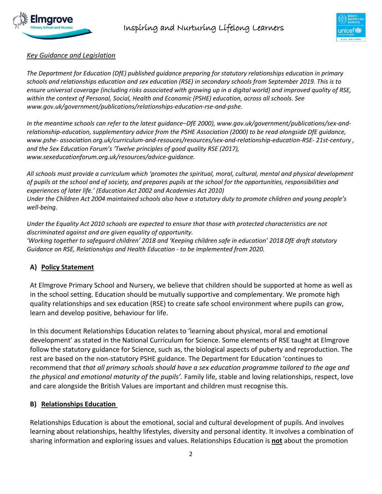



#### *Key Guidance and Legislation*

*The Department for Education (DfE) published guidance preparing for statutory relationships education in primary schools and relationships education and sex education (RSE) in secondary schools from September 2019. This is to ensure universal coverage (including risks associated with growing up in a digital world) and improved quality of RSE, within the context of Personal, Social, Health and Economic (PSHE) education, across all schools. See [www.gov.uk/government/publications/relationships-education-rse-and-pshe.](http://www.gov.uk/government/publications/relationships-education-rse-and-pshe.)*

*In the meantime schools can refer to the latest guidance–DfE 2000), [www.gov.uk/government/publications/sex-and](http://www.gov.uk/government/publications/sex-and-relationship-education)[relationship-education,](http://www.gov.uk/government/publications/sex-and-relationship-education) supplementary advice from the PSHE Association (2000) to be read alongside DfE guidance, www.pshe- association.org.uk/curriculum-and-resouces/resources/sex-and-relationship-education-RSE- 21st-century , and the Sex Education Forum's 'Twelve principles of good quality RSE (2017), [www.sexeducationforum.org.uk/resources/advice-guidance.](http://www.sexeducationforum.org.uk/resources/advice-guidance)*

*All schools must provide a curriculum which 'promotes the spiritual, moral, cultural, mental and physical development of pupils at the school and of society, and prepares pupils at the school for the opportunities, responsibilities and experiences of later life.' (Education Act 2002 and Academies Act 2010) Under the Children Act 2004 maintained schools also have a statutory duty to promote children and young people's well-being.* 

*Under the Equality Act 2010 schools are expected to ensure that those with protected characteristics are not discriminated against and are given equality of opportunity. 'Working together to safeguard children' 2018 and 'Keeping children safe in education' 2018 DfE draft statutory Guidance on RSE, Relationships and Health Education - to be implemented from 2020.*

## **A) Policy Statement**

At Elmgrove Primary School and Nursery, we believe that children should be supported at home as well as in the school setting. Education should be mutually supportive and complementary. We promote high quality relationships and sex education (RSE) to create safe school environment where pupils can grow, learn and develop positive, behaviour for life.

In this document Relationships Education relates to 'learning about physical, moral and emotional development' as stated in the National Curriculum for Science. Some elements of RSE taught at Elmgrove follow the statutory guidance for Science, such as, the biological aspects of puberty and reproduction. The rest are based on the non-statutory PSHE guidance. The Department for Education 'continues to recommend that *that all primary schools should have a sex education programme tailored to the age and the physical and emotional maturity of the pupils'.* Family life, stable and loving relationships, respect, love and care alongside the British Values are important and children must recognise this.

#### **B) Relationships Education**

Relationships Education is about the emotional, social and cultural development of pupils. And involves learning about relationships, healthy lifestyles, diversity and personal identity. It involves a combination of sharing information and exploring issues and values. Relationships Education is **not** about the promotion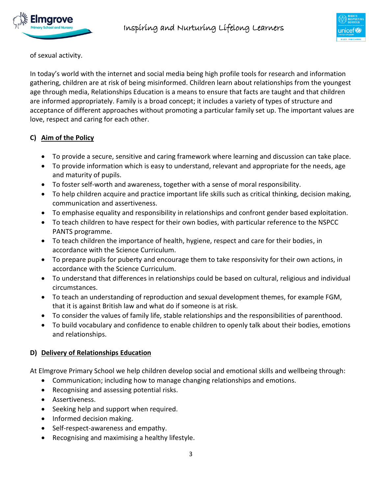



of sexual activity.

In today's world with the internet and social media being high profile tools for research and information gathering, children are at risk of being misinformed. Children learn about relationships from the youngest age through media, Relationships Education is a means to ensure that facts are taught and that children are informed appropriately. Family is a broad concept; it includes a variety of types of structure and acceptance of different approaches without promoting a particular family set up. The important values are love, respect and caring for each other.

# **C) Aim of the Policy**

- To provide a secure, sensitive and caring framework where learning and discussion can take place.
- To provide information which is easy to understand, relevant and appropriate for the needs, age and maturity of pupils.
- To foster self-worth and awareness, together with a sense of moral responsibility.
- To help children acquire and practice important life skills such as critical thinking, decision making, communication and assertiveness.
- To emphasise equality and responsibility in relationships and confront gender based exploitation.
- To teach children to have respect for their own bodies, with particular reference to the NSPCC PANTS programme.
- To teach children the importance of health, hygiene, respect and care for their bodies, in accordance with the Science Curriculum.
- To prepare pupils for puberty and encourage them to take responsivity for their own actions, in accordance with the Science Curriculum.
- To understand that differences in relationships could be based on cultural, religious and individual circumstances.
- To teach an understanding of reproduction and sexual development themes, for example FGM, that it is against British law and what do if someone is at risk.
- To consider the values of family life, stable relationships and the responsibilities of parenthood.
- To build vocabulary and confidence to enable children to openly talk about their bodies, emotions and relationships.

# **D) Delivery of Relationships Education**

At Elmgrove Primary School we help children develop social and emotional skills and wellbeing through:

- Communication; including how to manage changing relationships and emotions.
- Recognising and assessing potential risks.
- Assertiveness.
- Seeking help and support when required.
- Informed decision making.
- Self-respect-awareness and empathy.
- Recognising and maximising a healthy lifestyle.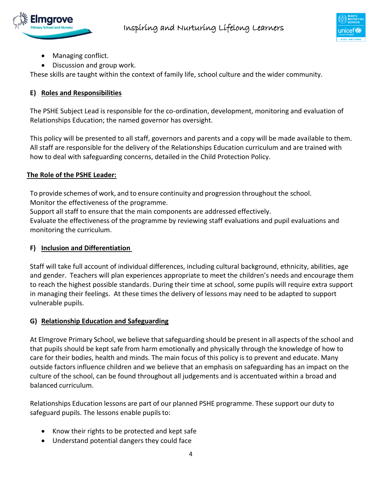



- Managing conflict.
- Discussion and group work.

These skills are taught within the context of family life, school culture and the wider community.

#### **E) Roles and Responsibilities**

The PSHE Subject Lead is responsible for the co-ordination, development, monitoring and evaluation of Relationships Education; the named governor has oversight.

This policy will be presented to all staff, governors and parents and a copy will be made available to them. All staff are responsible for the delivery of the Relationships Education curriculum and are trained with how to deal with safeguarding concerns, detailed in the Child Protection Policy.

#### **The Role of the PSHE Leader:**

To provide schemes of work, and to ensure continuity and progression throughout the school.

Monitor the effectiveness of the programme.

Support all staff to ensure that the main components are addressed effectively.

Evaluate the effectiveness of the programme by reviewing staff evaluations and pupil evaluations and monitoring the curriculum.

## **F) Inclusion and Differentiation**

Staff will take full account of individual differences, including cultural background, ethnicity, abilities, age and gender. Teachers will plan experiences appropriate to meet the children's needs and encourage them to reach the highest possible standards. During their time at school, some pupils will require extra support in managing their feelings. At these times the delivery of lessons may need to be adapted to support vulnerable pupils.

## **G) Relationship Education and Safeguarding**

At Elmgrove Primary School, we believe that safeguarding should be present in all aspects of the school and that pupils should be kept safe from harm emotionally and physically through the knowledge of how to care for their bodies, health and minds. The main focus of this policy is to prevent and educate. Many outside factors influence children and we believe that an emphasis on safeguarding has an impact on the culture of the school, can be found throughout all judgements and is accentuated within a broad and balanced curriculum.

Relationships Education lessons are part of our planned PSHE programme. These support our duty to safeguard pupils. The lessons enable pupils to:

- Know their rights to be protected and kept safe
- Understand potential dangers they could face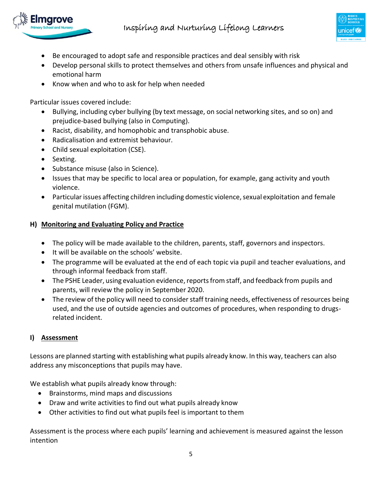



- Be encouraged to adopt safe and responsible practices and deal sensibly with risk
- Develop personal skills to protect themselves and others from unsafe influences and physical and emotional harm
- Know when and who to ask for help when needed

Particular issues covered include:

- Bullying, including cyber bullying (by text message, on social networking sites, and so on) and prejudice-based bullying (also in Computing).
- Racist, disability, and homophobic and transphobic abuse.
- Radicalisation and extremist behaviour.
- Child sexual exploitation (CSE).
- Sexting.
- Substance misuse (also in Science).
- Issues that may be specific to local area or population, for example, gang activity and youth violence.
- Particular issues affecting children including domestic violence, sexual exploitation and female genital mutilation (FGM).

#### **H) Monitoring and Evaluating Policy and Practice**

- The policy will be made available to the children, parents, staff, governors and inspectors.
- It will be available on the schools' website.
- The programme will be evaluated at the end of each topic via pupil and teacher evaluations, and through informal feedback from staff.
- The PSHE Leader, using evaluation evidence, reports from staff, and feedback from pupils and parents, will review the policy in September 2020.
- The review of the policy will need to consider staff training needs, effectiveness of resources being used, and the use of outside agencies and outcomes of procedures, when responding to drugsrelated incident.

## **I) Assessment**

Lessons are planned starting with establishing what pupils already know. In this way, teachers can also address any misconceptions that pupils may have.

We establish what pupils already know through:

- Brainstorms, mind maps and discussions
- Draw and write activities to find out what pupils already know
- Other activities to find out what pupils feel is important to them

Assessment is the process where each pupils' learning and achievement is measured against the lesson intention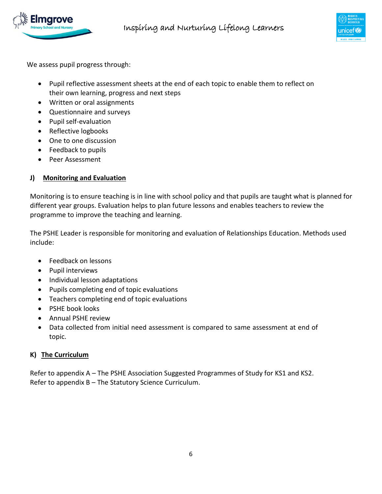



We assess pupil progress through:

- Pupil reflective assessment sheets at the end of each topic to enable them to reflect on their own learning, progress and next steps
- Written or oral assignments
- Questionnaire and surveys
- Pupil self-evaluation
- Reflective logbooks
- One to one discussion
- Feedback to pupils
- Peer Assessment

## **J) Monitoring and Evaluation**

Monitoring is to ensure teaching is in line with school policy and that pupils are taught what is planned for different year groups. Evaluation helps to plan future lessons and enables teachers to review the programme to improve the teaching and learning.

The PSHE Leader is responsible for monitoring and evaluation of Relationships Education. Methods used include:

- Feedback on lessons
- Pupil interviews
- Individual lesson adaptations
- Pupils completing end of topic evaluations
- Teachers completing end of topic evaluations
- PSHE book looks
- Annual PSHE review
- Data collected from initial need assessment is compared to same assessment at end of topic.

#### **K) The Curriculum**

Refer to appendix A – The PSHE Association Suggested Programmes of Study for KS1 and KS2. Refer to appendix B – The Statutory Science Curriculum.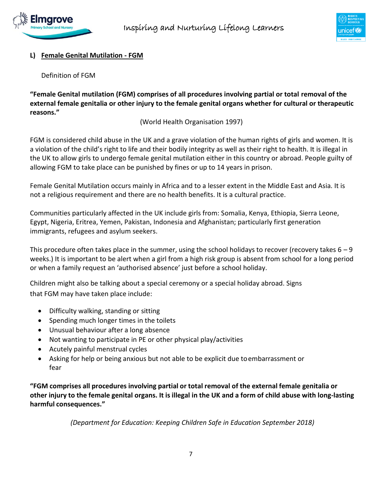



#### **L) Female Genital Mutilation - FGM**

Definition of FGM

**"Female Genital mutilation (FGM) comprises of all procedures involving partial or total removal of the external female genitalia or other injury to the female genital organs whether for cultural or therapeutic reasons."**

(World Health Organisation 1997)

FGM is considered child abuse in the UK and a grave violation of the human rights of girls and women. It is a violation of the child's right to life and their bodily integrity as well as their right to health. It is illegal in the UK to allow girls to undergo female genital mutilation either in this country or abroad. People guilty of allowing FGM to take place can be punished by fines or up to 14 years in prison.

Female Genital Mutilation occurs mainly in Africa and to a lesser extent in the Middle East and Asia. It is not a religious requirement and there are no health benefits. It is a cultural practice.

Communities particularly affected in the UK include girls from: Somalia, Kenya, Ethiopia, Sierra Leone, Egypt, Nigeria, Eritrea, Yemen, Pakistan, Indonesia and Afghanistan; particularly first generation immigrants, refugees and asylum seekers.

This procedure often takes place in the summer, using the school holidays to recover (recovery takes  $6 - 9$ ) weeks.) It is important to be alert when a girl from a high risk group is absent from school for a long period or when a family request an 'authorised absence' just before a school holiday.

Children might also be talking about a special ceremony or a special holiday abroad. Signs that FGM may have taken place include:

- Difficulty walking, standing or sitting
- Spending much longer times in the toilets
- Unusual behaviour after a long absence
- Not wanting to participate in PE or other physical play/activities
- Acutely painful menstrual cycles
- Asking for help or being anxious but not able to be explicit due toembarrassment or fear

**"FGM comprises all procedures involving partial or total removal of the external female genitalia or** other injury to the female genital organs. It is illegal in the UK and a form of child abuse with long-lasting **harmful consequences."**

*(Department for Education: Keeping Children Safe in Education September 2018)*